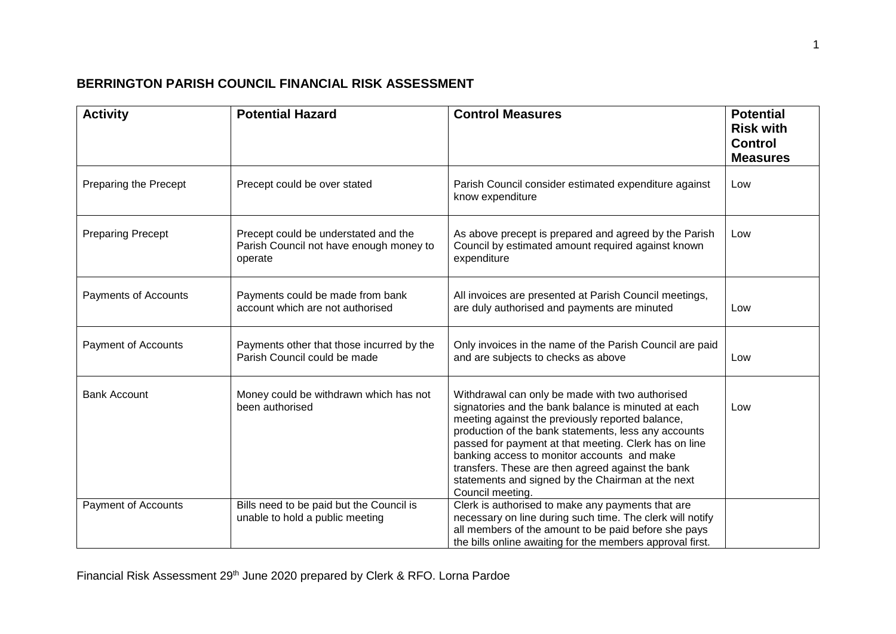## **BERRINGTON PARISH COUNCIL FINANCIAL RISK ASSESSMENT**

| <b>Activity</b>            | <b>Potential Hazard</b>                                                                    | <b>Control Measures</b>                                                                                                                                                                                                                                                                                                                                                                                                                                  | <b>Potential</b><br><b>Risk with</b><br><b>Control</b><br><b>Measures</b> |
|----------------------------|--------------------------------------------------------------------------------------------|----------------------------------------------------------------------------------------------------------------------------------------------------------------------------------------------------------------------------------------------------------------------------------------------------------------------------------------------------------------------------------------------------------------------------------------------------------|---------------------------------------------------------------------------|
| Preparing the Precept      | Precept could be over stated                                                               | Parish Council consider estimated expenditure against<br>know expenditure                                                                                                                                                                                                                                                                                                                                                                                | Low                                                                       |
| <b>Preparing Precept</b>   | Precept could be understated and the<br>Parish Council not have enough money to<br>operate | As above precept is prepared and agreed by the Parish<br>Council by estimated amount required against known<br>expenditure                                                                                                                                                                                                                                                                                                                               | Low                                                                       |
| Payments of Accounts       | Payments could be made from bank<br>account which are not authorised                       | All invoices are presented at Parish Council meetings,<br>are duly authorised and payments are minuted                                                                                                                                                                                                                                                                                                                                                   | Low                                                                       |
| <b>Payment of Accounts</b> | Payments other that those incurred by the<br>Parish Council could be made                  | Only invoices in the name of the Parish Council are paid<br>and are subjects to checks as above                                                                                                                                                                                                                                                                                                                                                          | Low                                                                       |
| <b>Bank Account</b>        | Money could be withdrawn which has not<br>been authorised                                  | Withdrawal can only be made with two authorised<br>signatories and the bank balance is minuted at each<br>meeting against the previously reported balance,<br>production of the bank statements, less any accounts<br>passed for payment at that meeting. Clerk has on line<br>banking access to monitor accounts and make<br>transfers. These are then agreed against the bank<br>statements and signed by the Chairman at the next<br>Council meeting. | Low                                                                       |
| <b>Payment of Accounts</b> | Bills need to be paid but the Council is<br>unable to hold a public meeting                | Clerk is authorised to make any payments that are<br>necessary on line during such time. The clerk will notify<br>all members of the amount to be paid before she pays<br>the bills online awaiting for the members approval first.                                                                                                                                                                                                                      |                                                                           |

Financial Risk Assessment 29<sup>th</sup> June 2020 prepared by Clerk & RFO. Lorna Pardoe